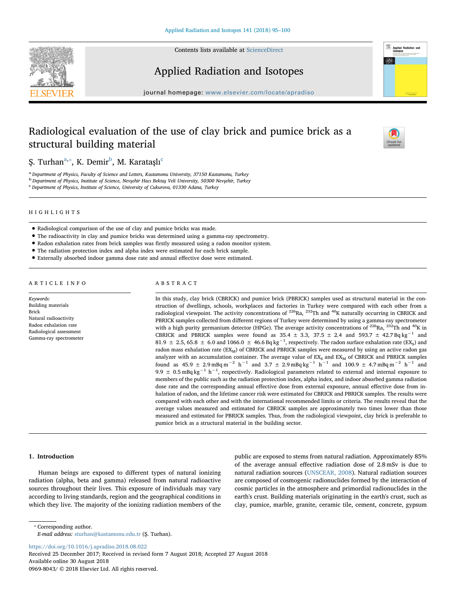

Contents lists available at [ScienceDirect](http://www.sciencedirect.com/science/journal/09698043)

### Applied Radiation and Isotopes

journal homepage: [www.elsevier.com/locate/apradiso](https://www.elsevier.com/locate/apradiso)

## Radiological evaluation of the use of clay brick and pumice brick as a structural building material



**Applied Radiation and** 

Ş. Turhan $^{\rm a, *},$  K. Demir $^{\rm b}$ , M. Karataşlı $^{\rm c}$  $^{\rm c}$  $^{\rm c}$ 

<span id="page-0-2"></span><span id="page-0-0"></span>a Department of Physics, Faculty of Science and Letters, Kastamonu University, 37150 Kastamonu, Turkey <sup>b</sup> Department of Physics, Institute of Science, Nevşehir Hacı Bektaş Veli University, 50300 Nevşehir, Turkey

<span id="page-0-3"></span>

Department of Physics, Institute of Science, University of Cukurova, 01330 Adana, Turkey

#### HIGHLIGHTS

- Radiological comparison of the use of clay and pumice bricks was made.
- The radioactivity in clay and pumice bricks was determined using a gamma-ray spectrometry.
- Radon exhalation rates from brick samples was firstly measured using a radon monitor system.
- The radiation protection index and alpha index were estimated for each brick sample.
- Externally absorbed indoor gamma dose rate and annual effective dose were estimated.

#### ARTICLE INFO

Keywords: Building materials Brick Natural radioactivity Radon exhalation rate Radiological assessment Gamma-ray spectrometer ABSTRACT

In this study, clay brick (CBRICK) and pumice brick (PBRICK) samples used as structural material in the construction of dwellings, schools, workplaces and factories in Turkey were compared with each other from a radiological viewpoint. The activity concentrations of <sup>226</sup>Ra, <sup>232</sup>Th and <sup>40</sup>K naturally occurring in CBRICK and PBRICK samples collected from different regions of Turkey were determined by using a gamma-ray spectrometer with a high purity germanium detector (HPGe). The average activity concentrations of <sup>226</sup>Ra, <sup>232</sup>Th and <sup>40</sup>K in CBRICK and PBRICK samples were found as  $35.4 \pm 3.3$ ,  $37.5 \pm 2.4$  and  $593.7 \pm 42.7$  Bq kg<sup>-1</sup> and 81.9 ± 2.5, 65.8 ± 6.0 and 1066.0 ± 46.6 Bq kg<sup>-1</sup>, respectively. The radon surface exhalation rate (EX<sub>S</sub>) and radon mass exhalation rate (EX<sub>M</sub>) of CBRICK and PBRICK samples were measured by using an active radon gas analyzer with an accumulation container. The average value of  $EX_S$  and  $EX_M$  of CBRICK and PBRICK samples found as  $45.9 \pm 2.9 \text{ mBq m}^{-2} \text{ h}^{-1}$  and  $3.7 \pm 2.9 \text{ mBq kg}^{-1} \text{ h}^{-1}$  and  $100.9 \pm 4.7 \text{ mBq m}^{-2} \text{ h}^{-1}$  and 9.9 ± 0.5 mBq kg<sup>-1</sup> h<sup>-1</sup>, respectively. Radiological parameters related to external and internal exposure to members of the public such as the radiation protection index, alpha index, and indoor absorbed gamma radiation dose rate and the corresponding annual effective dose from external exposure, annual effective dose from inhalation of radon, and the lifetime cancer risk were estimated for CBRICK and PBRICK samples. The results were compared with each other and with the international recommended limits or criteria. The results reveal that the average values measured and estimated for CBRICK samples are approximately two times lower than those measured and estimated for PBRICK samples. Thus, from the radiological viewpoint, clay brick is preferable to pumice brick as a structural material in the building sector.

#### 1. Introduction

Human beings are exposed to different types of natural ionizing radiation (alpha, beta and gamma) released from natural radioactive sources throughout their lives. This exposure of individuals may vary according to living standards, region and the geographical conditions in which they live. The majority of the ionizing radiation members of the public are exposed to stems from natural radiation. Approximately 85% of the average annual effective radiation dose of 2.8 mSv is due to natural radiation sources [\(UNSCEAR, 2008\)](#page--1-0). Natural radiation sources are composed of cosmogenic radionuclides formed by the interaction of cosmic particles in the atmosphere and primordial radionuclides in the earth's crust. Building materials originating in the earth's crust, such as clay, pumice, marble, granite, ceramic tile, cement, concrete, gypsum

<span id="page-0-1"></span>⁎ Corresponding author.

<https://doi.org/10.1016/j.apradiso.2018.08.022>

Received 25 December 2017; Received in revised form 7 August 2018; Accepted 27 August 2018 Available online 30 August 2018

0969-8043/ © 2018 Elsevier Ltd. All rights reserved.

E-mail address: [sturhan@kastamonu.edu.tr](mailto:sturhan@kastamonu.edu.tr) (Ş. Turhan).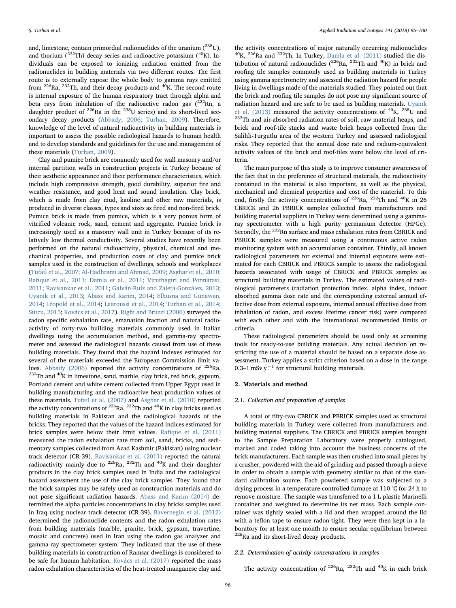and, limestone, contain primordial radionuclides of the uranium  $(^{238}U)$ , and thorium ( $^{232}$ Th) decay series and radioactive potassium ( $^{40}$ K). Individuals can be exposed to ionizing radiation emitted from the radionuclides in building materials via two different routes. The first route is to externally expose the whole body to gamma rays emitted from  $226$ Ra,  $232$ Th, and their decay products and  $40$ K. The second route is internal exposure of the human respiratory tract through alpha and beta rays from inhalation of the radioactive radon gas  $(^{222}$ Rn, a daughter product of <sup>226</sup>Ra in the <sup>238</sup>U series) and its short-lived secondary decay products ([Abbady, 2006; Turhan, 2009\)](#page--1-1). Therefore, knowledge of the level of natural radioactivity in building materials is important to assess the possible radiological hazards to human health and to develop standards and guidelines for the use and management of these materials ([Turhan, 2009](#page--1-2)).

Clay and pumice brick are commonly used for wall masonry and/or internal partition walls in construction projects in Turkey because of their aesthetic appearance and their performance characteristics, which include high compressive strength, good durability, superior fire and weather resistance, and good heat and sound insulation. Clay brick, which is made from clay mud, kaoline and other raw materials, is produced in diverse classes, types and sizes as fired and non-fired brick. Pumice brick is made from pumice, which is a very porous form of vitrified volcanic rock, sand, cement and aggregate. Pumice brick is increasingly used as a masonry wall unit in Turkey because of its relatively low thermal conductivity. Several studies have recently been performed on the natural radioactivity, physical, chemical and mechanical properties, and production costs of clay and pumice brick samples used in the construction of dwellings, schools and workplaces ([Tufail et al., 2007; Al-Hadhrami and Ahmad, 2009; Asghar et al., 2010;](#page--1-3) Rafi[que et al., 2011; Damla et al., 2011; Viruthagiri and Ponnarasi,](#page--1-3) [2011; Ravisankar et al., 2011;](#page--1-3) [Galván-Ruiz and Zaleta-González, 2013](#page--1-4); Uyanı[k et al., 2013;](#page--1-5) [Abass and Karim, 2014](#page--1-6); [Elhusna and Gunawan,](#page--1-7) [2014;](#page--1-7) [Léopold et al., 2014;](#page--1-8) [Laaroussi et al., 2014;](#page--1-9) [Turhan et al., 2014](#page--1-10); [Sutcu, 2015;](#page--1-11) [Kovács et al., 2017](#page--1-12)). [Righi and Bruzzi \(2006\)](#page--1-13) surveyed the radon specific exhalation rate, emanation fraction and natural radioactivity of forty-two building materials commonly used in Italian dwellings using the accumulation method, and gamma-ray spectrometer and assessed the radiological hazards caused from use of these building materials. They found that the hazard indexes estimated for several of the materials exceeded the European Commission limit va-lues. [Abbady \(2006\)](#page--1-1) reported the activity concentrations of  $^{226}$ Ra,  $^{232}$ Th and  $^{40}$ K in limestone, sand, marble, clay brick, red brick, gypsum, Portland cement and white cement collected from Upper Egypt used in building manufacturing and the radioactive heat production values of these materials. [Tufail et al. \(2007\)](#page--1-3) and [Asghar et al. \(2010\)](#page--1-14) reported the activity concentrations of  $^{226}$ Ra,  $^{232}$ Th and  $^{40}$ K in clay bricks used as building materials in Pakistan and the radiological hazards of the bricks. They reported that the values of the hazard indices estimated for brick samples were below their limit values. Rafi[que et al. \(2011\)](#page--1-15) measured the radon exhalation rate from soil, sand, bricks, and sedimentary samples collected from Azad Kashmir (Pakistan) using nuclear track detector (CR-39). [Ravisankar et al. \(2011\)](#page--1-16) reported the natural radioactivity mainly due to  $^{226}$ Ra,  $^{232}$ Th and  $^{40}$ K and their daughter products in the clay brick samples used in India and the radiological hazard assessment the use of the clay brick samples. They found that the brick samples may be safely used as construction materials and do not pose significant radiation hazards. [Abass and Karim \(2014\)](#page--1-6) determined the alpha particles concentrations in clay bricks samples used in Iraq using nuclear track detector (CR-39). [Bavernegin et al. \(2012\)](#page--1-17) determined the radionuclide contents and the radon exhalation rates from building materials (marble, granite, brick, gypsum, travertine, mosaic and concrete) used in Iran using the radon gas analyzer and gamma-ray spectrometer system. They indicated that the use of these building materials in construction of Ramsar dwellings is considered to be safe for human habitation. [Kovács et al. \(2017\)](#page--1-12) reported the mass radon exhalation characteristics of the heat-treated manganese clay and

the activity concentrations of major naturally occurring radionuclides  $40$ K,  $226$ Ra and  $232$ Th. In Turkey, [Damla et al. \(2011\)](#page--1-18) studied the distribution of natural radionuclides  $(^{226}$ Ra,  $^{232}$ Th and  $^{40}$ K) in brick and roofing tile samples commonly used as building materials in Turkey using gamma spectrometry and assessed the radiation hazard for people living in dwellings made of the materials studied. They pointed out that the brick and roofing tile samples do not pose any significant source of radiation hazard and are safe to be used as building materials. [Uyan](#page--1-5)ık [et al. \(2013\)](#page--1-5) measured the activity concentrations of  ${}^{40}$ K,  ${}^{238}$ U and  $232$ Th and air-absorbed radiation rates of soil, raw material heaps, and brick and roof-tile stacks and waste brick heaps collected from the Salihli-Turgutlu area of the western Turkey and assessed radiological risks. They reported that the annual dose rate and radium-equivalent activity values of the brick and roof-tiles were below the level of criteria.

The main purpose of this study is to improve consumer awareness of the fact that in the preference of structural materials, the radioactivity contained in the material is also important, as well as the physical, mechanical and chemical properties and cost of the material. To this end, firstly the activity concentrations of  $^{226}$ Ra,  $^{232}$ Th and  $^{40}$ K in 26 CBRICK and 26 PBRICK samples collected from manufacturers and building material suppliers in Turkey were determined using a gammaray spectrometer with a high purity germanium detector (HPGe). Secondly, the <sup>222</sup>Rn surface and mass exhalation rates from CBRICK and PBRICK samples were measured using a continuous active radon monitoring system with an accumulation container. Thirdly, all known radiological parameters for external and internal exposure were estimated for each CBRICK and PBRICK sample to assess the radiological hazards associated with usage of CBRICK and PBRICK samples as structural building materials in Turkey. The estimated values of radiological parameters (radiation protection index, alpha index, indoor absorbed gamma dose rate and the corresponding external annual effective dose from external exposure, internal annual effective dose from inhalation of radon, and excess lifetime cancer risk) were compared with each other and with the international recommended limits or criteria.

These radiological parameters should be used only as screening tools for ready-to-use building materials. Any actual decision on restricting the use of a material should be based on a separate dose assessment. Turkey applies a strict criterion based on a dose in the range 0.3–1 mSv y<sup> $-1$ </sup> for structural building materials.

#### 2. Materials and method

#### 2.1. Collection and preparation of samples

A total of fifty-two CBRICK and PBRICK samples used as structural building materials in Turkey were collected from manufacturers and building material suppliers. The CBRICK and PBRICK samples brought to the Sample Preparation Laboratory were properly catalogued, marked and coded taking into account the business concerns of the brick manufacturers. Each sample was then crushed into small pieces by a crusher, powdered with the aid of grinding and passed through a sieve in order to obtain a sample with geometry similar to that of the standard calibration source. Each powdered sample was subjected to a drying process in a temperature-controlled furnace at 110 °C for 24 h to remove moisture. The sample was transferred to a 1 L plastic Marinelli container and weighted to determine its net mass. Each sample container was tightly sealed with a lid and then wrapped around the lid with a teflon tape to ensure radon-tight. They were then kept in a laboratory for at least one month to ensure secular equilibrium between  $226$ Ra and its short-lived decay products.

#### 2.2. Determination of activity concentrations in samples

The activity concentration of  $^{226}$ Ra,  $^{232}$ Th and  $^{40}$ K in each brick